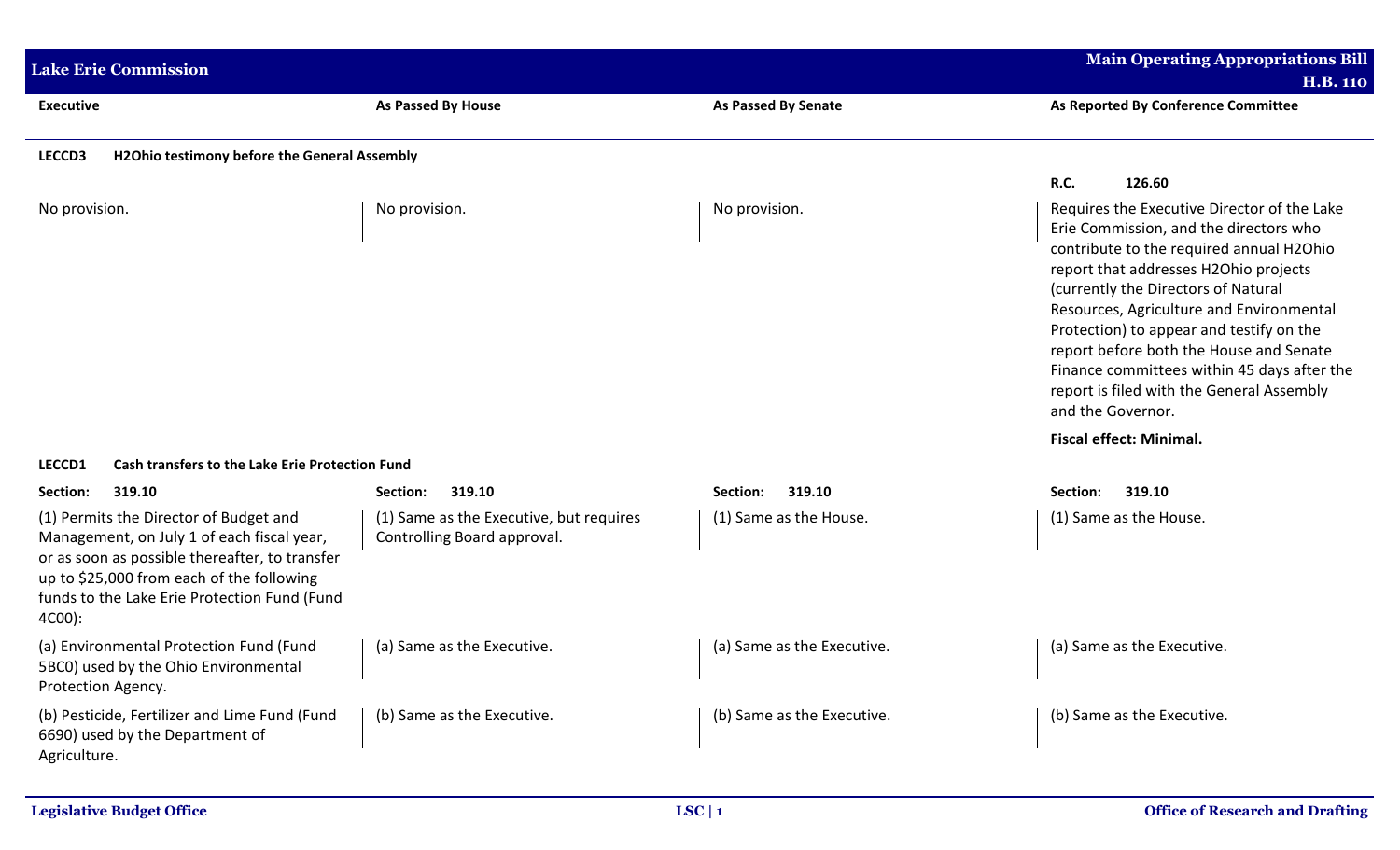| <b>Lake Erie Commission</b>                                                                                                                                                                                                                                         |                                                                                              |                                    | <b>Main Operating Appropriations Bill</b><br><b>H.B. 110</b>                                                                                                                                                                                                                                                                                                                                                                                                                                                              |  |  |
|---------------------------------------------------------------------------------------------------------------------------------------------------------------------------------------------------------------------------------------------------------------------|----------------------------------------------------------------------------------------------|------------------------------------|---------------------------------------------------------------------------------------------------------------------------------------------------------------------------------------------------------------------------------------------------------------------------------------------------------------------------------------------------------------------------------------------------------------------------------------------------------------------------------------------------------------------------|--|--|
| <b>Executive</b>                                                                                                                                                                                                                                                    | As Passed By House                                                                           | <b>As Passed By Senate</b>         | As Reported By Conference Committee                                                                                                                                                                                                                                                                                                                                                                                                                                                                                       |  |  |
| LECCD3<br><b>H2Ohio testimony before the General Assembly</b>                                                                                                                                                                                                       |                                                                                              |                                    |                                                                                                                                                                                                                                                                                                                                                                                                                                                                                                                           |  |  |
| No provision.                                                                                                                                                                                                                                                       | No provision.                                                                                | No provision.                      | R.C.<br>126.60<br>Requires the Executive Director of the Lake<br>Erie Commission, and the directors who<br>contribute to the required annual H2Ohio<br>report that addresses H2Ohio projects<br>(currently the Directors of Natural<br>Resources, Agriculture and Environmental<br>Protection) to appear and testify on the<br>report before both the House and Senate<br>Finance committees within 45 days after the<br>report is filed with the General Assembly<br>and the Governor.<br><b>Fiscal effect: Minimal.</b> |  |  |
| LECCD1<br>Cash transfers to the Lake Erie Protection Fund<br>319.10                                                                                                                                                                                                 |                                                                                              |                                    |                                                                                                                                                                                                                                                                                                                                                                                                                                                                                                                           |  |  |
| 319.10<br>Section:<br>(1) Permits the Director of Budget and<br>Management, on July 1 of each fiscal year,<br>or as soon as possible thereafter, to transfer<br>up to \$25,000 from each of the following<br>funds to the Lake Erie Protection Fund (Fund<br>4C00): | 319.10<br>Section:<br>(1) Same as the Executive, but requires<br>Controlling Board approval. | Section:<br>(1) Same as the House. | Section:<br>319.10<br>(1) Same as the House.                                                                                                                                                                                                                                                                                                                                                                                                                                                                              |  |  |
| (a) Environmental Protection Fund (Fund<br>5BC0) used by the Ohio Environmental<br>Protection Agency.                                                                                                                                                               | (a) Same as the Executive.                                                                   | (a) Same as the Executive.         | (a) Same as the Executive.                                                                                                                                                                                                                                                                                                                                                                                                                                                                                                |  |  |
| (b) Pesticide, Fertilizer and Lime Fund (Fund<br>6690) used by the Department of<br>Agriculture.                                                                                                                                                                    | (b) Same as the Executive.                                                                   | (b) Same as the Executive.         | (b) Same as the Executive.                                                                                                                                                                                                                                                                                                                                                                                                                                                                                                |  |  |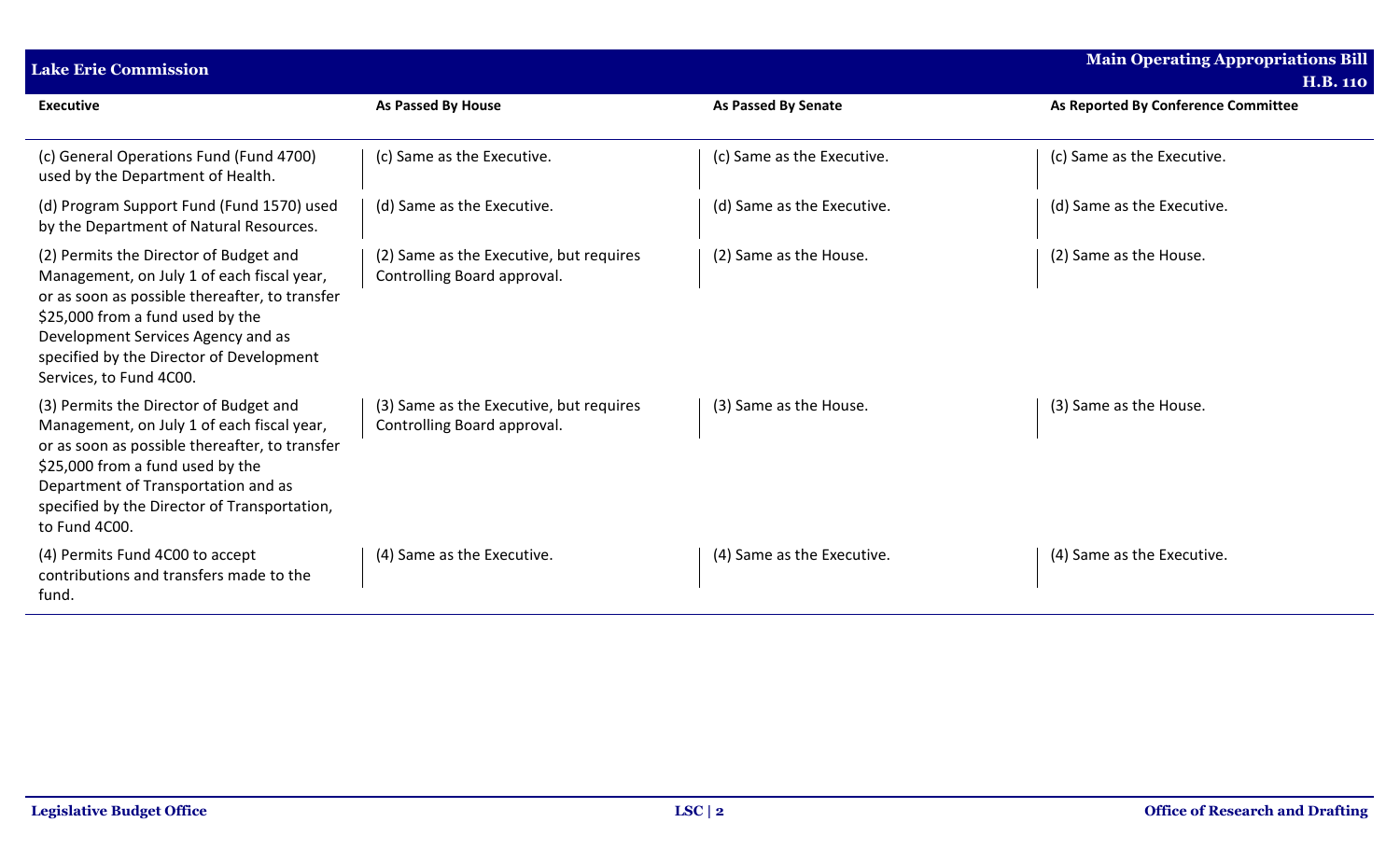| <b>Lake Erie Commission</b>                                                                                                                                                                                                                                                             | <b>Main Operating Appropriations Bill</b>                              |                            |                                                        |
|-----------------------------------------------------------------------------------------------------------------------------------------------------------------------------------------------------------------------------------------------------------------------------------------|------------------------------------------------------------------------|----------------------------|--------------------------------------------------------|
| <b>Executive</b>                                                                                                                                                                                                                                                                        | <b>As Passed By House</b>                                              | <b>As Passed By Senate</b> | <b>H.B. 110</b><br>As Reported By Conference Committee |
| (c) General Operations Fund (Fund 4700)<br>used by the Department of Health.                                                                                                                                                                                                            | (c) Same as the Executive.                                             | (c) Same as the Executive. | (c) Same as the Executive.                             |
| (d) Program Support Fund (Fund 1570) used<br>by the Department of Natural Resources.                                                                                                                                                                                                    | (d) Same as the Executive.                                             | (d) Same as the Executive. | (d) Same as the Executive.                             |
| (2) Permits the Director of Budget and<br>Management, on July 1 of each fiscal year,<br>or as soon as possible thereafter, to transfer<br>\$25,000 from a fund used by the<br>Development Services Agency and as<br>specified by the Director of Development<br>Services, to Fund 4C00. | (2) Same as the Executive, but requires<br>Controlling Board approval. | (2) Same as the House.     | (2) Same as the House.                                 |
| (3) Permits the Director of Budget and<br>Management, on July 1 of each fiscal year,<br>or as soon as possible thereafter, to transfer<br>\$25,000 from a fund used by the<br>Department of Transportation and as<br>specified by the Director of Transportation,<br>to Fund 4C00.      | (3) Same as the Executive, but requires<br>Controlling Board approval. | (3) Same as the House.     | (3) Same as the House.                                 |
| (4) Permits Fund 4C00 to accept<br>contributions and transfers made to the<br>fund.                                                                                                                                                                                                     | (4) Same as the Executive.                                             | (4) Same as the Executive. | (4) Same as the Executive.                             |